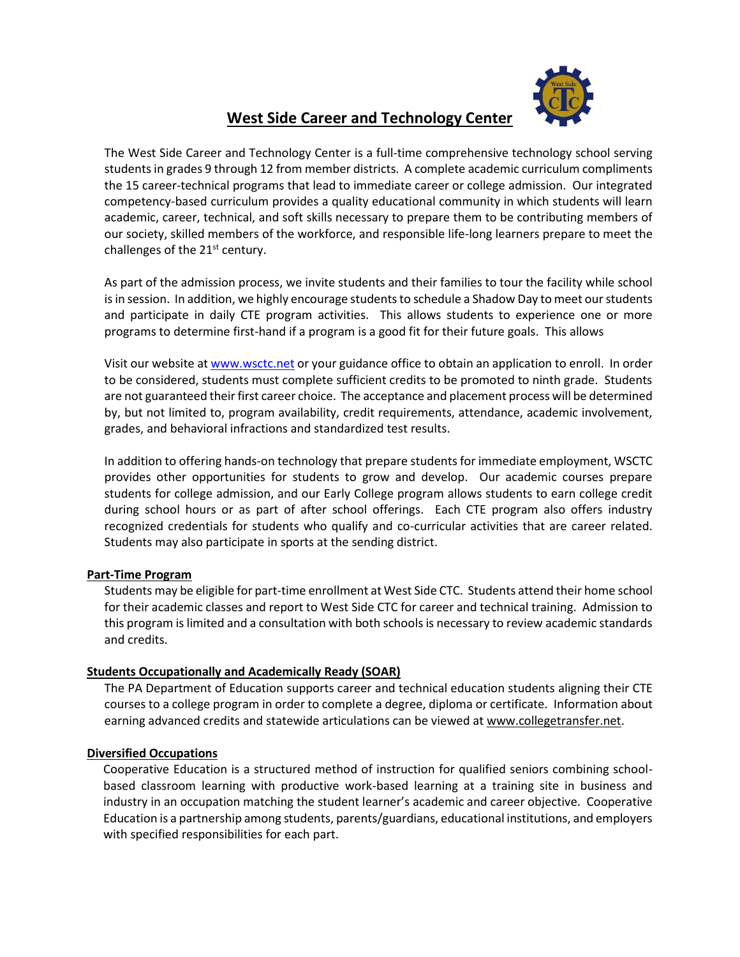

# **West Side Career and Technology Center**

The West Side Career and Technology Center is a full-time comprehensive technology school serving students in grades 9 through 12 from member districts. A complete academic curriculum compliments the 15 career-technical programs that lead to immediate career or college admission. Our integrated competency-based curriculum provides a quality educational community in which students will learn academic, career, technical, and soft skills necessary to prepare them to be contributing members of our society, skilled members of the workforce, and responsible life-long learners prepare to meet the challenges of the  $21<sup>st</sup>$  century.

As part of the admission process, we invite students and their families to tour the facility while school is in session. In addition, we highly encourage students to schedule a Shadow Day to meet our students and participate in daily CTE program activities. This allows students to experience one or more programs to determine first-hand if a program is a good fit for their future goals. This allows

Visit our website a[t www.wsctc.net](http://www.wsctc.net/) or your guidance office to obtain an application to enroll. In order to be considered, students must complete sufficient credits to be promoted to ninth grade. Students are not guaranteed their first career choice. The acceptance and placement process will be determined by, but not limited to, program availability, credit requirements, attendance, academic involvement, grades, and behavioral infractions and standardized test results.

In addition to offering hands-on technology that prepare students for immediate employment, WSCTC provides other opportunities for students to grow and develop. Our academic courses prepare students for college admission, and our Early College program allows students to earn college credit during school hours or as part of after school offerings. Each CTE program also offers industry recognized credentials for students who qualify and co-curricular activities that are career related. Students may also participate in sports at the sending district.

### **Part-Time Program**

Students may be eligible for part-time enrollment at West Side CTC. Students attend their home school for their academic classes and report to West Side CTC for career and technical training. Admission to this program is limited and a consultation with both schools is necessary to review academic standards and credits.

### **Students Occupationally and Academically Ready (SOAR)**

The PA Department of Education supports career and technical education students aligning their CTE courses to a college program in order to complete a degree, diploma or certificate. Information about earning advanced credits and statewide articulations can be viewed at [www.collegetransfer.net.](http://www.collegetransfer.net/)

### **Diversified Occupations**

Cooperative Education is a structured method of instruction for qualified seniors combining schoolbased classroom learning with productive work-based learning at a training site in business and industry in an occupation matching the student learner's academic and career objective. Cooperative Education is a partnership among students, parents/guardians, educational institutions, and employers with specified responsibilities for each part.